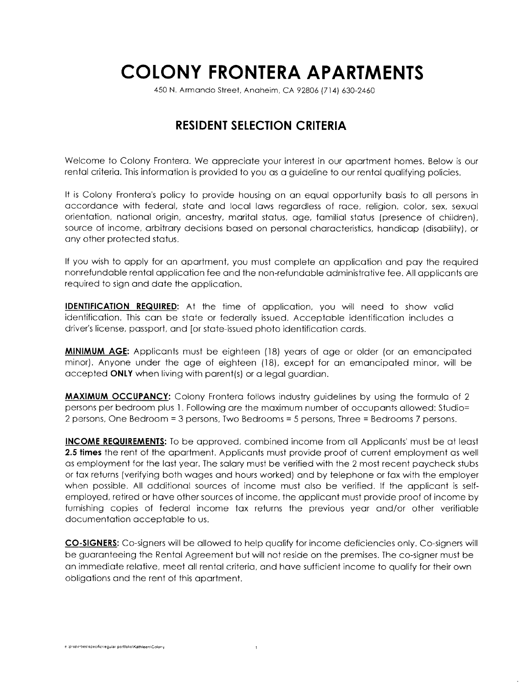## COLONY FRONTERA APARTMENTS

450 N. Armqndo Street, Anohelm, CA 92806 (714) 630-2460

## RESIDENT SELECTION CRITERIA

Welcome to Colony Frontera. We appreciate your interest in our apartment homes. Below is our rental criteria. This information is provided to you as a guideline to our rental qualifying policies.

It is Colony Frontero's policy to provide housing on on equol opportunity bosis to oll persons in occordonce with federol, stote ond locol lows regordless of roce, religion. color, sex, sexuol orientation, national origin, ancestry, marital status, age, familial status (presence of children), source of income, arbitrary decisions based on personal characteristics, handicap (disability), or any other protected status.

If you wish to apply for an apartment, you must complete an application and pay the required nonrefundable rental application fee and the non-refundable administrative fee. All applicants are required to slgn ond dote the opplicotion.

IDENTIFICATION REQUIRED: At the time of opplicotion, you will need to show volid identificotion. This con be stote or federolly issued. Accepioble identificotion includes o driver's license, passport, and [or state-issued photo identification cards.

MINIMUM AGE: Applicants must be eighteen (18) years of age or older (or an emancipated minor). Anyone under the age of eighteen (18), except for an emancipated minor, will be occepted ONIY when living with porent(s) or o legol guordion.

**MAXIMUM OCCUPANCY:** Colony Frontera follows industry guidelines by using the formula of 2 persons per bedroom plus 1. Following are the maximum number of occupants allowed: Studio=  $2$  persons, One Bedroom = 3 persons, Two Bedrooms = 5 persons, Three = Bedrooms 7 persons.

INCOME REQUIREMENTS: To be approved, combined income from all Applicants' must be at least 2.5 times the rent of the apartment. Applicants must provide proof of current employment as well os employment for the lost yeor. The solory must be verified with the 2 most recent poycheck siubs or tox returns (verifying both woges ond hours worked) ond by telephone or fox with the employer when possible. All odditionol sources of income must olso be verified. lf the opplicont is selfemployed, retired or hove other sources of income, the opplicont must provide proof of income by furnishing copies of federal income tax returns the previous year and/or other verifiable documentotion occeptoble to us.

CO-SIGNERS: Co-signers will be ollowed to help quolify for income deficiencies only. Co-signers will be guoronteeing the Rentol Agreemeni but will not reside on the premises. The co-signer must be on immediote relotive, meet oll reniol criterio, ond hove sufficient income to quolify for their own obligotions ond the rent of this oportment.

 $\mathbf{I}$